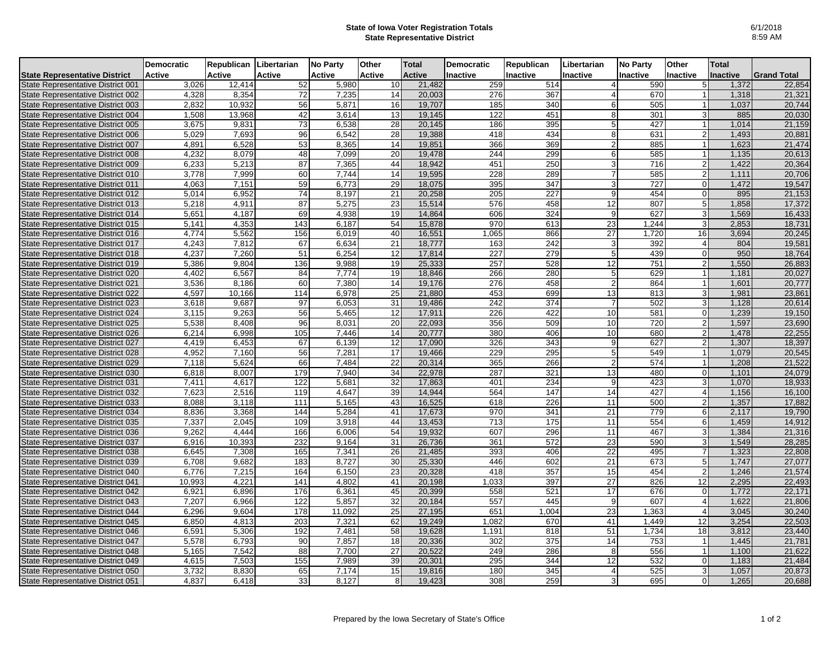## **State of Iowa Voter Registration Totals State Representative District**

|                                      | Democratic    | Republican Libertarian |               | <b>No Party</b> | Other  | Total         | <b>Democratic</b> | Republican       | Libertarian     | <b>No Party</b> | Other                 | <b>Total</b> |                    |
|--------------------------------------|---------------|------------------------|---------------|-----------------|--------|---------------|-------------------|------------------|-----------------|-----------------|-----------------------|--------------|--------------------|
| <b>State Representative District</b> | <b>Active</b> | Active                 | <b>Active</b> | <b>Active</b>   | Active | <b>Active</b> | <b>Inactive</b>   | Inactive         | Inactive        | Inactive        | Inactive              | Inactive     | <b>Grand Total</b> |
| State Representative District 001    | 3.026         | 12,414                 | 52            | 5,980           | 10     | 21,482        | 259               | 514              | 4               | 590             | 5                     | 1,372        | 22,854             |
| State Representative District 002    | 4,328         | 8,354                  | 72            | 7,235           | 14     | 20,003        | 276               | 367              | $\overline{4}$  | 670             |                       | 1,318        | 21,321             |
| State Representative District 003    | 2.832         | 10.932                 | 56            | 5.871           | 16     | 19,707        | 185               | 340              | $6 \mid$        | 505             |                       | 1.037        | 20,744             |
| State Representative District 004    | 1,508         | 13,968                 | 42            | 3,614           | 13     | 19,145        | 122               | 451              | 8               | 301             |                       | 885          | 20,030             |
| State Representative District 005    | 3,675         | 9,831                  | 73            | 6,538           | 28     | 20,145        | 186               | 395              | 5 <sup>1</sup>  | 427             |                       | 1,014        | 21,159             |
| State Representative District 006    | 5,029         | 7,693                  | 96            | 6,542           | 28     | 19,388        | 418               | 434              | 8 <sup>1</sup>  | 631             | $\overline{2}$        | 1,493        | 20,881             |
| State Representative District 007    | 4,891         | 6,528                  | 53            | 8,365           | 14     | 19,851        | 366               | 369              | $\overline{2}$  | 885             |                       | 1,623        | 21,474             |
| State Representative District 008    | 4,232         | 8,079                  | 48            | 7,099           | 20     | 19,478        | 244               | 299              | 6               | 585             |                       | 1,135        | 20,613             |
| State Representative District 009    | 6,233         | 5,213                  | 87            | 7,365           | 44     | 18,942        | 451               | 250              | $\overline{3}$  | 716             | $\mathsf{2}$          | 1,422        | 20,364             |
| State Representative District 010    | 3,778         | 7,999                  | 60            | 7,744           | 14     | 19,595        | 228               | 289              | 7               | 585             | $\mathsf{2}$          | 1,111        | 20,706             |
| State Representative District 011    | 4,063         | 7,151                  | 59            | 6,773           | 29     | 18,075        | 395               | 347              | 3               | 727             | $\Omega$              | 1,472        | 19,547             |
| State Representative District 012    | 5,014         | 6,952                  | 74            | 8,197           | 21     | 20,258        | $\overline{205}$  | $\overline{227}$ | 9               | 454             | $\Omega$              | 895          | 21,153             |
| State Representative District 013    | 5,218         | 4,911                  | 87            | 5,275           | 23     | 15,514        | 576               | 458              | 12              | 807             | 5 <sub>l</sub>        | 1,858        | 17,372             |
| State Representative District 014    | 5,651         | 4,187                  | 69            | 4,938           | 19     | 14,864        | 606               | 324              | 9               | 627             | $\overline{3}$        | 1,569        | 16,433             |
| State Representative District 015    | 5,141         | 4,353                  | 143           | 6,187           | 54     | 15,878        | 970               | 613              | 23              | 1,244           | $\overline{3}$        | 2,853        | 18,731             |
| State Representative District 016    | 4,774         | 5,562                  | 156           | 6.019           | 40     | 16,551        | 1,065             | 866              | 27              | 1,720           | 16                    | 3,694        | 20,245             |
| State Representative District 017    | 4,243         | 7,812                  | 67            | 6.634           | 21     | 18,777        | 163               | 242              | 3               | 392             | $\overline{4}$        | 804          | 19,581             |
| State Representative District 018    | 4,237         | 7,260                  | 51            | 6,254           | 12     | 17,814        | 227               | 279              | $5\overline{)}$ | 439             | $\Omega$              | 950          | 18,764             |
| State Representative District 019    | 5,386         | 9,804                  | 136           | 9,988           | 19     | 25,333        | 257               | 528              | 12              | 751             | $\overline{2}$        | 1,550        | 26,883             |
| State Representative District 020    | 4,402         | 6,567                  | 84            | 7,774           | 19     | 18,846        | 266               | 280              | 5               | 629             |                       | 1,181        | 20,027             |
| State Representative District 021    | 3,536         | 8.186                  | 60            | 7,380           | 14     | 19,176        | 276               | 458              | $\overline{2}$  | 864             |                       | 1,601        | 20,777             |
| State Representative District 022    | 4,597         | 10,166                 | 114           | 6,978           | 25     | 21,880        | 453               | 699              | 13              | 813             | $\overline{3}$        | 1,981        | 23,861             |
| State Representative District 023    | 3.618         | 9.687                  | 97            | 6.053           | 31     | 19,486        | $\overline{242}$  | 374              | 7               | 502             | $\overline{3}$        | 1,128        | 20,614             |
| State Representative District 024    | 3,115         | 9,263                  | 56            | 5,465           | 12     | 17,911        | 226               | 422              | 10              | 581             | <sub>0</sub>          | 1,239        | 19,150             |
| State Representative District 025    | 5,538         | 8,408                  | 96            | 8,031           | 20     | 22,093        | 356               | 509              | 10              | 720             | $\overline{2}$        | 1,597        | 23,690             |
| State Representative District 026    | 6,214         | 6,998                  | 105           | 7,446           | 14     | 20,777        | 380               | 406              | 10              | 680             | $\overline{2}$        | 1,478        | 22,255             |
| State Representative District 027    | 4,419         | 6,453                  | 67            | 6,139           | 12     | 17,090        | 326               | 343              | 9               | 627             | $\overline{2}$        | 1,307        | 18,397             |
| State Representative District 028    | 4,952         | 7,160                  | 56            | 7,281           | 17     | 19,466        | 229               | 295              | 5 <sup>1</sup>  | 549             |                       | 1,079        | 20,545             |
| State Representative District 029    | 7,118         | 5,624                  | 66            | 7.484           | 22     | 20,314        | 365               | 266              | $\mathfrak{p}$  | 574             |                       | 1,208        | 21,522             |
| State Representative District 030    | 6,818         | 8,007                  | 179           | 7,940           | 34     | 22,978        | 287               | 321              | 13              | 480             | $\Omega$              | 1,101        | 24,079             |
| State Representative District 031    | 7,411         | 4,617                  | 122           | 5,681           | 32     | 17,863        | 401               | 234              | 9               | 423             | $\overline{3}$        | 1,070        | 18,933             |
| State Representative District 032    | 7,623         | 2,516                  | 119           | 4,647           | 39     | 14,944        | 564               | 147              | 14              | 427             | 4                     | 1,156        | 16,100             |
| State Representative District 033    | 8,088         | 3,118                  | 111           | 5,165           | 43     | 16,525        | 618               | 226              | 11              | 500             | $\overline{2}$        | 1,357        | 17,882             |
| State Representative District 034    | 8,836         | 3,368                  | 144           | 5,284           | 41     | 17,673        | 970               | 341              | 21              | 779             | 6                     | 2,117        | 19,790             |
| State Representative District 035    | 7,337         | 2,045                  | 109           | 3,918           | 44     | 13,453        | 713               | 175              | 11              | 554             | 61                    | 1,459        | 14,912             |
| State Representative District 036    | 9.262         | 4.444                  | 166           | 6.006           | 54     | 19,932        | 607               | 296              | 11              | 467             | $\overline{3}$        | 1,384        | 21,316             |
| State Representative District 037    | 6,916         | 10,393                 | 232           | 9,164           | 31     | 26,736        | 361               | 572              | 23              | 590             | 3l                    | 1,549        | 28,285             |
| State Representative District 038    | 6,645         | 7.308                  | 165           | 7.341           | 26     | 21,485        | 393               | 406              | 22              | 495             | $\overline{7}$        | 1,323        | 22,808             |
| State Representative District 039    | 6,708         | 9,682                  | 183           | 8,727           | 30     | 25,330        | 446               | 602              | 21              | 673             | 5 <sup>1</sup>        | 1,747        | 27,077             |
| State Representative District 040    | 6,776         | 7,215                  | 164           | 6.150           | 23     | 20,328        | 418               | 357              | 15              | 454             | $\mathsf{2}$          | 1,246        | 21,574             |
| State Representative District 041    | 10,993        | 4,221                  | 141           | 4,802           | 41     | 20,198        | 1,033             | 397              | 27              | 826             | 12                    | 2,295        | 22,493             |
| State Representative District 042    | 6,921         | 6,896                  | 176           | 6,361           | 45     | 20,399        | 558               | 521              | 17              | 676             | $\Omega$              | 1,772        | 22,171             |
| State Representative District 043    | 7,207         | 6,966                  | 122           | 5,857           | 32     | 20,184        | 557               | 445              | 9               | 607             | $\overline{4}$        | 1,622        | 21,806             |
| State Representative District 044    | 6,296         | 9,604                  | 178           | 11,092          | 25     | 27,195        | 651               | 1,004            | 23              | 1,363           | $\boldsymbol{\Delta}$ | 3,045        | 30,240             |
| State Representative District 045    | 6,850         | 4,813                  | 203           | 7,321           | 62     | 19,249        | 1,082             | 670              | 41              | 1,449           | 12                    | 3,254        | 22,503             |
| State Representative District 046    | 6,591         | 5,306                  | 192           | 7,481           | 58     | 19,628        | 1,191             | 818              | 51              | 1,734           | 18                    | 3,812        | 23,440             |
| State Representative District 047    | 5,578         | 6,793                  | 90            | 7,857           | 18     | 20,336        | 302               | $\overline{375}$ | 14              | 753             | $\overline{1}$        | 1,445        | 21,781             |
| State Representative District 048    | 5,165         | 7,542                  | 88            | 7,700           | 27     | 20,522        | 249               | 286              | 8               | 556             | $\blacktriangleleft$  | 1,100        | 21,622             |
| State Representative District 049    | 4,615         | 7,503                  | 155           | 7,989           | 39     | 20,301        | 295               | 344              | 12              | 532             | $\overline{0}$        | 1,183        | 21,484             |
| State Representative District 050    | 3,732         | 8,830                  | 65            | 7,174           | 15     | 19,816        | 180               | 345              | 4               | 525             | зI                    | 1,057        | 20,873             |
| State Representative District 051    | 4,837         | 6,418                  | 33            | 8,127           | 8      | 19,423        | 308               | 259              | $\overline{3}$  | 695             | οI                    | 1,265        | 20,688             |
|                                      |               |                        |               |                 |        |               |                   |                  |                 |                 |                       |              |                    |